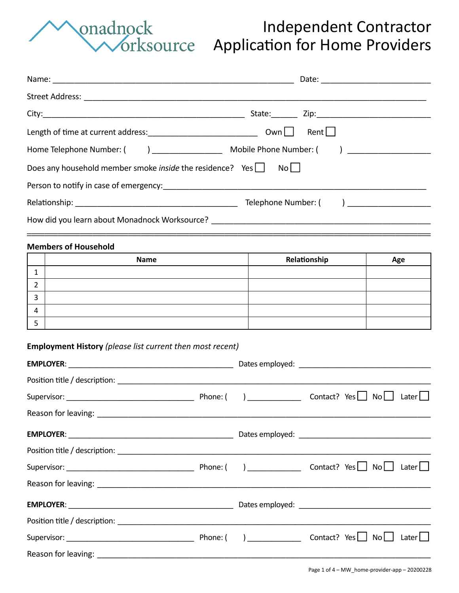

## Independent Contractor Application for Home Providers

|                | Does any household member smoke <i>inside</i> the residence? Yes $\Box$ No $\Box$                               |              |     |  |  |
|----------------|-----------------------------------------------------------------------------------------------------------------|--------------|-----|--|--|
|                |                                                                                                                 |              |     |  |  |
|                | Telephone Number: ( )                                                                                           |              |     |  |  |
|                |                                                                                                                 |              |     |  |  |
|                | <b>Members of Household</b>                                                                                     |              |     |  |  |
|                | <b>Name</b>                                                                                                     | Relationship | Age |  |  |
| $\mathbf{1}$   | <u> 1989 - Johann Stoff, Amerikaansk politiker († 1908)</u>                                                     |              |     |  |  |
| $\overline{2}$ | the contract of the contract of the contract of the contract of the contract of the contract of the contract of |              |     |  |  |
| $\overline{3}$ |                                                                                                                 |              |     |  |  |
| 4              |                                                                                                                 |              |     |  |  |
| 5              |                                                                                                                 |              |     |  |  |

## **Employment History** *(please list current then most recent)*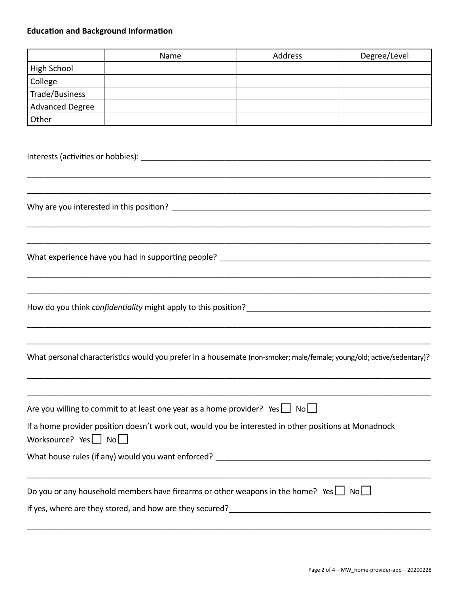## **Education and Background Information**

|                                                                                                                                                                                                                               | Name                                                                                                                                                                                                                                      | Address | Degree/Level |  |  |  |
|-------------------------------------------------------------------------------------------------------------------------------------------------------------------------------------------------------------------------------|-------------------------------------------------------------------------------------------------------------------------------------------------------------------------------------------------------------------------------------------|---------|--------------|--|--|--|
| <b>High School</b>                                                                                                                                                                                                            |                                                                                                                                                                                                                                           |         |              |  |  |  |
| College                                                                                                                                                                                                                       |                                                                                                                                                                                                                                           |         |              |  |  |  |
| Trade/Business                                                                                                                                                                                                                |                                                                                                                                                                                                                                           |         |              |  |  |  |
| <b>Advanced Degree</b>                                                                                                                                                                                                        |                                                                                                                                                                                                                                           |         |              |  |  |  |
| Other                                                                                                                                                                                                                         |                                                                                                                                                                                                                                           |         |              |  |  |  |
| Interests (activities or hobbies): Notified that the set of the set of the set of the set of the set of the set of the set of the set of the set of the set of the set of the set of the set of the set of the set of the set |                                                                                                                                                                                                                                           |         |              |  |  |  |
|                                                                                                                                                                                                                               |                                                                                                                                                                                                                                           |         |              |  |  |  |
| What experience have you had in supporting people? _____________________________                                                                                                                                              |                                                                                                                                                                                                                                           |         |              |  |  |  |
| How do you think confidentiality might apply to this position?<br>How do you think confidentiality might apply to this position?                                                                                              |                                                                                                                                                                                                                                           |         |              |  |  |  |
| What personal characteristics would you prefer in a housemate (non-smoker; male/female; young/old; active/sedentary)?                                                                                                         |                                                                                                                                                                                                                                           |         |              |  |  |  |
| Are you willing to commit to at least one year as a home provider? Yes $\Box$ No $\Box$                                                                                                                                       |                                                                                                                                                                                                                                           |         |              |  |  |  |
| If a home provider position doesn't work out, would you be interested in other positions at Monadnock<br>Worksource? Yes $\Box$ No $\Box$                                                                                     |                                                                                                                                                                                                                                           |         |              |  |  |  |
|                                                                                                                                                                                                                               |                                                                                                                                                                                                                                           |         |              |  |  |  |
|                                                                                                                                                                                                                               | Do you or any household members have firearms or other weapons in the home? Yes $\Box$ No $\Box$<br>If yes, where are they stored, and how are they secured?<br><u>Letter and an announ and an announ and an announ and they secured?</u> |         |              |  |  |  |

 $\_$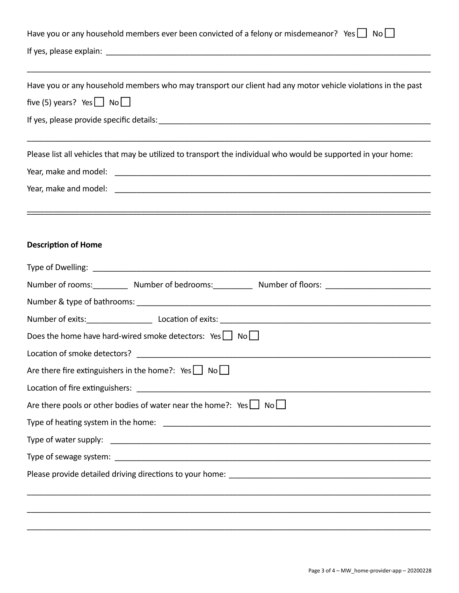| Have you or any household members ever been convicted of a felony or misdemeanor? Yes $\Box$ No $\Box$                                                                                                                         |  |  |  |  |
|--------------------------------------------------------------------------------------------------------------------------------------------------------------------------------------------------------------------------------|--|--|--|--|
|                                                                                                                                                                                                                                |  |  |  |  |
| ,我们就会在这里的人,我们就会在这里的人,我们就会在这里,我们就会在这里,我们就会在这里,我们就会在这里,我们就会在这里,我们就会在这里,我们就会在这里,我们就                                                                                                                                               |  |  |  |  |
| Have you or any household members who may transport our client had any motor vehicle violations in the past                                                                                                                    |  |  |  |  |
| five (5) years? Yes $\Box$ No $\Box$                                                                                                                                                                                           |  |  |  |  |
|                                                                                                                                                                                                                                |  |  |  |  |
| Please list all vehicles that may be utilized to transport the individual who would be supported in your home:                                                                                                                 |  |  |  |  |
|                                                                                                                                                                                                                                |  |  |  |  |
|                                                                                                                                                                                                                                |  |  |  |  |
|                                                                                                                                                                                                                                |  |  |  |  |
| <b>Description of Home</b>                                                                                                                                                                                                     |  |  |  |  |
|                                                                                                                                                                                                                                |  |  |  |  |
| Number of rooms:___________ Number of bedrooms:____________ Number of floors: ______________________                                                                                                                           |  |  |  |  |
|                                                                                                                                                                                                                                |  |  |  |  |
| Number of exits: 1990 Correction of exits: 1990 Correction of exits: 2008 Correction Correction Correction Corr                                                                                                                |  |  |  |  |
| Does the home have hard-wired smoke detectors: $Yes[] No[]$                                                                                                                                                                    |  |  |  |  |
| Location of smoke detectors? The contract of the contract of the contract of the contract of the contract of the contract of the contract of the contract of the contract of the contract of the contract of the contract of t |  |  |  |  |
| Are there fire extinguishers in the home?: $Yes \Box No \Box$                                                                                                                                                                  |  |  |  |  |
|                                                                                                                                                                                                                                |  |  |  |  |
| Are there pools or other bodies of water near the home?: Yes   No                                                                                                                                                              |  |  |  |  |
|                                                                                                                                                                                                                                |  |  |  |  |
|                                                                                                                                                                                                                                |  |  |  |  |
|                                                                                                                                                                                                                                |  |  |  |  |
|                                                                                                                                                                                                                                |  |  |  |  |
|                                                                                                                                                                                                                                |  |  |  |  |
|                                                                                                                                                                                                                                |  |  |  |  |
|                                                                                                                                                                                                                                |  |  |  |  |